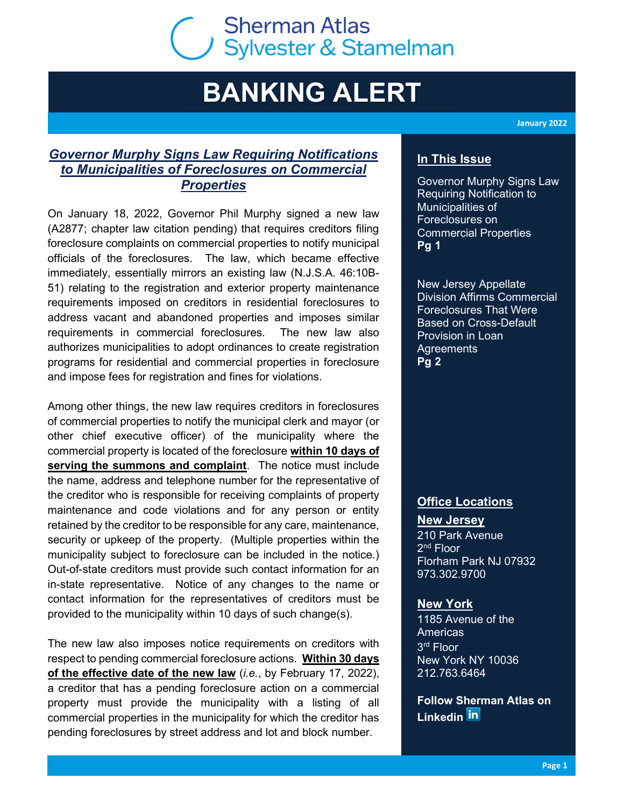# C Sherman Atlas<br>C Sylvester & Stamelman **Sherman Atlas**

## BANKING ALERT

Governor Murphy Signs Law Requiring Notifications to Municipalities of Foreclosures on Commercial **Properties** 

On January 18, 2022, Governor Phil Murphy signed a new law (A2877; chapter law citation pending) that requires creditors filing foreclosure complaints on commercial properties to notify municipal officials of the foreclosures. The law, which became effective immediately, essentially mirrors an existing law (N.J.S.A. 46:10B-51) relating to the registration and exterior property maintenance requirements imposed on creditors in residential foreclosures to address vacant and abandoned properties and imposes similar requirements in commercial foreclosures. The new law also authorizes municipalities to adopt ordinances to create registration programs for residential and commercial properties in foreclosure and impose fees for registration and fines for violations.

Among other things, the new law requires creditors in foreclosures of commercial properties to notify the municipal clerk and mayor (or other chief executive officer) of the municipality where the commercial property is located of the foreclosure within 10 days of serving the summons and complaint. The notice must include the name, address and telephone number for the representative of the creditor who is responsible for receiving complaints of property maintenance and code violations and for any person or entity retained by the creditor to be responsible for any care, maintenance, security or upkeep of the property. (Multiple properties within the municipality subject to foreclosure can be included in the notice.) Out-of-state creditors must provide such contact information for an in-state representative. Notice of any changes to the name or contact information for the representatives of creditors must be provided to the municipality within 10 days of such change(s).

The new law also imposes notice requirements on creditors with respect to pending commercial foreclosure actions. Within 30 days of the effective date of the new law (*i.e.*, by February 17, 2022), a creditor that has a pending foreclosure action on a commercial property must provide the municipality with a listing of all commercial properties in the municipality for which the creditor has pending foreclosures by street address and lot and block number.

January 2022

## In This Issue

Governor Murphy Signs Law Requiring Notification to Municipalities of Foreclosures on Commercial Properties Pg 1

New Jersey Appellate Division Affirms Commercial Foreclosures That Were Based on Cross-Default Provision in Loan Agreements Pg 2

### **Office Locations**

New Jersey 210 Park Avenue 2<sup>nd</sup> Floor Florham Park NJ 07932 973.302.9700

#### **New York**

1185 Avenue of the Americas 3 rd Floor New York NY 10036 212.763.6464

Follow Sherman Atlas on Linkedin **in**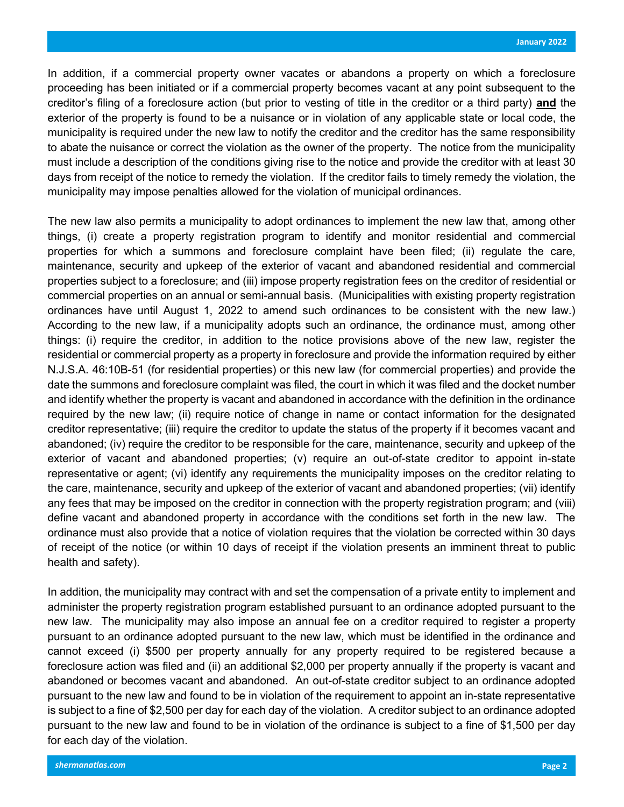In addition, if a commercial property owner vacates or abandons a property on which a foreclosure proceeding has been initiated or if a commercial property becomes vacant at any point subsequent to the creditor's filing of a foreclosure action (but prior to vesting of title in the creditor or a third party) and the exterior of the property is found to be a nuisance or in violation of any applicable state or local code, the municipality is required under the new law to notify the creditor and the creditor has the same responsibility to abate the nuisance or correct the violation as the owner of the property. The notice from the municipality must include a description of the conditions giving rise to the notice and provide the creditor with at least 30 days from receipt of the notice to remedy the violation. If the creditor fails to timely remedy the violation, the municipality may impose penalties allowed for the violation of municipal ordinances.

The new law also permits a municipality to adopt ordinances to implement the new law that, among other things, (i) create a property registration program to identify and monitor residential and commercial properties for which a summons and foreclosure complaint have been filed; (ii) regulate the care, maintenance, security and upkeep of the exterior of vacant and abandoned residential and commercial properties subject to a foreclosure; and (iii) impose property registration fees on the creditor of residential or commercial properties on an annual or semi-annual basis. (Municipalities with existing property registration ordinances have until August 1, 2022 to amend such ordinances to be consistent with the new law.) According to the new law, if a municipality adopts such an ordinance, the ordinance must, among other things: (i) require the creditor, in addition to the notice provisions above of the new law, register the residential or commercial property as a property in foreclosure and provide the information required by either N.J.S.A. 46:10B-51 (for residential properties) or this new law (for commercial properties) and provide the date the summons and foreclosure complaint was filed, the court in which it was filed and the docket number and identify whether the property is vacant and abandoned in accordance with the definition in the ordinance required by the new law; (ii) require notice of change in name or contact information for the designated creditor representative; (iii) require the creditor to update the status of the property if it becomes vacant and abandoned; (iv) require the creditor to be responsible for the care, maintenance, security and upkeep of the exterior of vacant and abandoned properties; (v) require an out-of-state creditor to appoint in-state representative or agent; (vi) identify any requirements the municipality imposes on the creditor relating to the care, maintenance, security and upkeep of the exterior of vacant and abandoned properties; (vii) identify any fees that may be imposed on the creditor in connection with the property registration program; and (viii) define vacant and abandoned property in accordance with the conditions set forth in the new law. The ordinance must also provide that a notice of violation requires that the violation be corrected within 30 days of receipt of the notice (or within 10 days of receipt if the violation presents an imminent threat to public health and safety).

In addition, the municipality may contract with and set the compensation of a private entity to implement and administer the property registration program established pursuant to an ordinance adopted pursuant to the new law. The municipality may also impose an annual fee on a creditor required to register a property pursuant to an ordinance adopted pursuant to the new law, which must be identified in the ordinance and cannot exceed (i) \$500 per property annually for any property required to be registered because a foreclosure action was filed and (ii) an additional \$2,000 per property annually if the property is vacant and abandoned or becomes vacant and abandoned. An out-of-state creditor subject to an ordinance adopted pursuant to the new law and found to be in violation of the requirement to appoint an in-state representative is subject to a fine of \$2,500 per day for each day of the violation. A creditor subject to an ordinance adopted pursuant to the new law and found to be in violation of the ordinance is subject to a fine of \$1,500 per day for each day of the violation.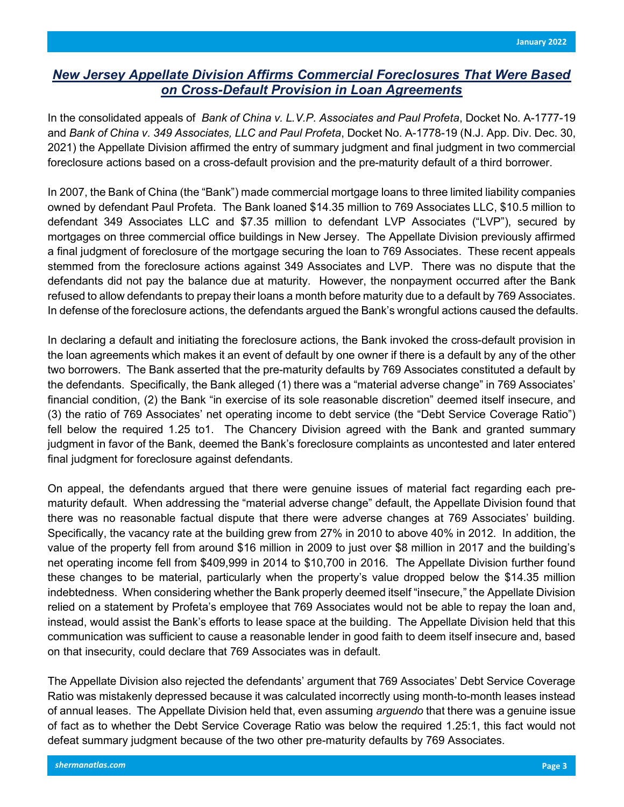## New Jersey Appellate Division Affirms Commercial Foreclosures That Were Based on Cross-Default Provision in Loan Agreements

In the consolidated appeals of Bank of China v. L. V.P. Associates and Paul Profeta, Docket No. A-1777-19 and Bank of China v. 349 Associates, LLC and Paul Profeta, Docket No. A-1778-19 (N.J. App. Div. Dec. 30, 2021) the Appellate Division affirmed the entry of summary judgment and final judgment in two commercial foreclosure actions based on a cross-default provision and the pre-maturity default of a third borrower.

In 2007, the Bank of China (the "Bank") made commercial mortgage loans to three limited liability companies owned by defendant Paul Profeta. The Bank loaned \$14.35 million to 769 Associates LLC, \$10.5 million to defendant 349 Associates LLC and \$7.35 million to defendant LVP Associates ("LVP"), secured by mortgages on three commercial office buildings in New Jersey. The Appellate Division previously affirmed a final judgment of foreclosure of the mortgage securing the loan to 769 Associates. These recent appeals stemmed from the foreclosure actions against 349 Associates and LVP. There was no dispute that the defendants did not pay the balance due at maturity. However, the nonpayment occurred after the Bank refused to allow defendants to prepay their loans a month before maturity due to a default by 769 Associates. In defense of the foreclosure actions, the defendants argued the Bank's wrongful actions caused the defaults.

In declaring a default and initiating the foreclosure actions, the Bank invoked the cross-default provision in the loan agreements which makes it an event of default by one owner if there is a default by any of the other two borrowers. The Bank asserted that the pre-maturity defaults by 769 Associates constituted a default by the defendants. Specifically, the Bank alleged (1) there was a "material adverse change" in 769 Associates' financial condition, (2) the Bank "in exercise of its sole reasonable discretion" deemed itself insecure, and (3) the ratio of 769 Associates' net operating income to debt service (the "Debt Service Coverage Ratio") fell below the required 1.25 to1. The Chancery Division agreed with the Bank and granted summary judgment in favor of the Bank, deemed the Bank's foreclosure complaints as uncontested and later entered final judgment for foreclosure against defendants.

On appeal, the defendants argued that there were genuine issues of material fact regarding each prematurity default. When addressing the "material adverse change" default, the Appellate Division found that there was no reasonable factual dispute that there were adverse changes at 769 Associates' building. Specifically, the vacancy rate at the building grew from 27% in 2010 to above 40% in 2012. In addition, the value of the property fell from around \$16 million in 2009 to just over \$8 million in 2017 and the building's net operating income fell from \$409,999 in 2014 to \$10,700 in 2016. The Appellate Division further found these changes to be material, particularly when the property's value dropped below the \$14.35 million indebtedness. When considering whether the Bank properly deemed itself "insecure," the Appellate Division relied on a statement by Profeta's employee that 769 Associates would not be able to repay the loan and, instead, would assist the Bank's efforts to lease space at the building. The Appellate Division held that this communication was sufficient to cause a reasonable lender in good faith to deem itself insecure and, based on that insecurity, could declare that 769 Associates was in default.

The Appellate Division also rejected the defendants' argument that 769 Associates' Debt Service Coverage Ratio was mistakenly depressed because it was calculated incorrectly using month-to-month leases instead of annual leases. The Appellate Division held that, even assuming *arguendo* that there was a genuine issue of fact as to whether the Debt Service Coverage Ratio was below the required 1.25:1, this fact would not defeat summary judgment because of the two other pre-maturity defaults by 769 Associates.